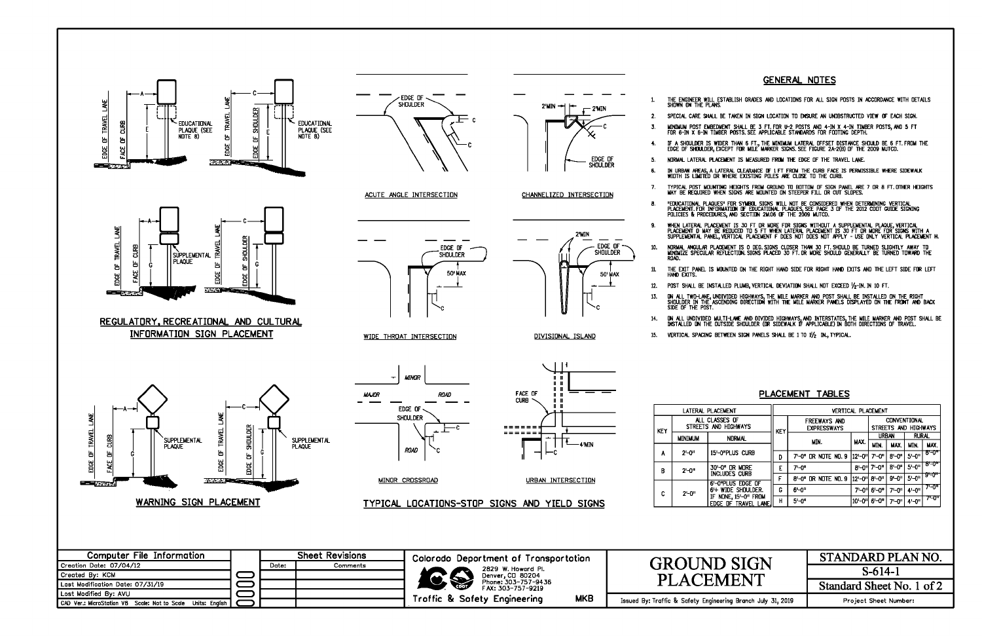

## **GENERAL NOTES**

THE ENGINEER WILL ESTABLISH GRADES AND LOCATIONS FOR ALL SIGN POSTS IN ACCORDANCE WITH DETAILS

SPECIAL CARE SHALL BE TAKEN IN SIGN LOCATION TO ENSURE AN UNOBSTRUCTED VIEW OF EACH SIGN.

MINIMUM POST EMBEDMENT SHALL BE 3 FT. FOR U-2 POSTS AND 4-IN X 4-IN TIMBER POSTS, AND 5 FT<br>FOR 6-IN X 6-IN TIMBER POSTS. SEE APPLICABLE STANDARDS FOR FOOTING DEPTH.

IF A SHOULDER IS WIDER THAN 6 FT., THE MINIMUM LATERAL OFFSET DISTANCE SHOULD BE 6 FT. FROM THE<br>EDGE DF SHOULDER, EXCEPT FOR MILE MARKER SIGNS. SEE FIGURE 2A-2(B) OF THE 2009 MUTCD.

NORMAL LATERAL PLACEMENT IS MEASURED FROM THE EDGE OF THE TRAVEL LANE.

IN URBAN AREAS, A LATERAL CLEARANCE DE 1 FT FROM THE CURB FACE IS PERMISSIBLE WHERE SIDEWALK<br>WIOTH IS LIMITED OR WHERE EXISTING POLES ARE CLOSE TO THE CURB.

typical post mounting heights from ground to bottom of sign panel are 7 or 8 ft.other heights<br>May be required when signs are mounted on steeper fill or cut slopes.

"EDUCATIONAL PLAQUES" FOR SYMBOL SIGNS WILL NOT BE CONSIDERED WHEN DETERMINING VERTICAL<br>PLACEMENT FOR INFORMATION OF EDUCATIONAL PLAQUES, SEE PAGE 3 OF THE 2012 CDOT GUIDE SIGNING<br>POLICIES & PROCEDURES, AND SECTION 2M.06 O

WHEN LATERAL PLACEMENT IS 30 FT DR MORE FOR SIGNS WITHOUT A SUPPLEMENTAL PLAQUE VERTICAL<br>PLACEMENT D MAY BE REDUCED TO 5 FT WHEN LATERAL PLACEMENT IS 30 FT DR MORE FOR SIGNS WITH A<br>SUPPLEMENTAL PANEL, VERTICAL PLACEMENT F

NORMAL ANGULAR PLACEMENT IS O DEG SIGNS CLOSER THAN 30 FT SHOULD BE TURNED SLIGHTLY AWAY TO<br>MINIMIZE SPECULAR REFLECTION SIGNS PLACED 30 FT OR MORE SHOULD GENERALLY BE TURNED TOWARD THE

THE EXIT PANEL IS MOUNTED ON THE RIGHT HAND SIDE FOR RIGHT HAND EXITS AND THE LEFT SIDE FOR LEFT

POST SHALL BE INSTALLED PLUMB, VERTICAL DEVIATION SHALL NOT EXCEED  $\frac{1}{2}$ -in. In 10 FT.

DN ALL TWO-LANE, UNDIVIDED HIGHWAYS, THE MILE MARKER AND POST SHALL BE INSTALLED ON THE RIGHT<br>SHOULDER IN THE ASCENDING DIRECTION WITH THE MILE MARKER PANELS DISPLAYED ON THE FRONT AND BACK<br>SIDE OF THE POST.

ON ALL UNDIVIDED MULTI-LANE AND DIVIDED HIGHWAYS, AND INTERSTATES, THE MILE MARKER AND POST SHALL BE<br>INSTALLED ON THE OUTSIDE SHOULDER (OR SIDEWALK IF APPLICABLE) IN BOTH DIRECTIONS OF TRAVEL. 15. VERTICAL SPACING BETWEEN SIGN PANELS SHALL BE 1 TO 1/2 IN., TYPICAL.

## PLACEMENT TABLES

| <b>MENT</b>                                                                                                      | <b>VERTICAL PLACEMENT</b> |                                           |            |                                             |              |              |         |
|------------------------------------------------------------------------------------------------------------------|---------------------------|-------------------------------------------|------------|---------------------------------------------|--------------|--------------|---------|
| \$FS OF<br><b>HIGHWAYS</b>                                                                                       | <b>KEY</b>                | <b>FREEWAYS AND</b><br><b>EXPRESSWAYS</b> |            | <b>CONVENTIONAL</b><br>STREETS AND HIGHWAYS |              |              |         |
| <b>NORMAL</b>                                                                                                    |                           |                                           | MAX.       | URBAN                                       |              | <b>RURAL</b> |         |
|                                                                                                                  |                           | MIN.                                      |            | MIN.                                        | ШX.          | MIN.         | MAX.    |
| )"PLUS CURB                                                                                                      | D                         | 7'-0" or note no. 9                       | 12-0"      | $7 - 0$ "                                   | <b>B'-0"</b> | 5'-0"        | ਲਾਤਾ"   |
| O" DR -<br><b>MDRE</b><br>udes curb.<br>'Plus Edge of<br>wide shoulder.<br>one, 15'—o" from<br>: DF TRAVEL LANE. | E                         | 7'-0"                                     | 8'-0"      | $7 - 0$ "                                   | <b>B'-0"</b> | $5 - 0$ "    | ਰਾ ਹਾ   |
|                                                                                                                  |                           | 8'-0" DR NOTE NO. 9                       | l 12'-0"l  | $8 - 0$ "                                   | $9 - 0$ "    | $5 - 0$ "    | -91-011 |
|                                                                                                                  | G                         | $6 - 0$                                   | 7-04       | $6 - 0$                                     | 7'-0"        | $4 - 0$      | 7'-0"   |
|                                                                                                                  | н                         | $5 - 0$ "                                 | $10 - 0$ " | $6 - 0$                                     | 7'-0"        | $4 - 0$ "    | 7'-ਹਾ   |

STANDARD PLAN NO.  $S-614-1$ Standard Sheet No. 1 of 2 Project Sheet Number: